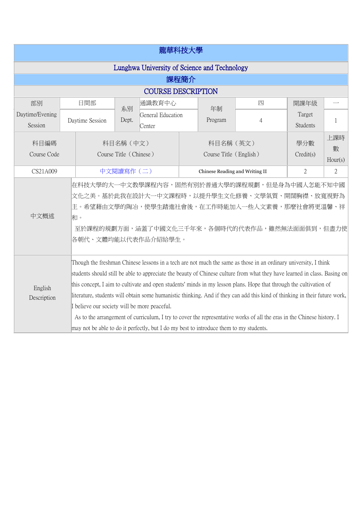| 龍華科技大學                                       |     |                                                                                                                                                                                                                                                                                                                                                                                                                                                                                                                                                                                                                                                                                                                                                                      |                                     |                             |                                |                                     |                |                           |                     |  |
|----------------------------------------------|-----|----------------------------------------------------------------------------------------------------------------------------------------------------------------------------------------------------------------------------------------------------------------------------------------------------------------------------------------------------------------------------------------------------------------------------------------------------------------------------------------------------------------------------------------------------------------------------------------------------------------------------------------------------------------------------------------------------------------------------------------------------------------------|-------------------------------------|-----------------------------|--------------------------------|-------------------------------------|----------------|---------------------------|---------------------|--|
| Lunghwa University of Science and Technology |     |                                                                                                                                                                                                                                                                                                                                                                                                                                                                                                                                                                                                                                                                                                                                                                      |                                     |                             |                                |                                     |                |                           |                     |  |
| 課程簡介                                         |     |                                                                                                                                                                                                                                                                                                                                                                                                                                                                                                                                                                                                                                                                                                                                                                      |                                     |                             |                                |                                     |                |                           |                     |  |
| <b>COURSE DESCRIPTION</b>                    |     |                                                                                                                                                                                                                                                                                                                                                                                                                                                                                                                                                                                                                                                                                                                                                                      |                                     |                             |                                |                                     |                |                           |                     |  |
| 部別                                           | 日間部 |                                                                                                                                                                                                                                                                                                                                                                                                                                                                                                                                                                                                                                                                                                                                                                      | 系別                                  | 通識教育中心                      | 年制                             |                                     | 四              | 開課年級                      |                     |  |
| Daytime/Evening<br>Session                   |     | Daytime Session                                                                                                                                                                                                                                                                                                                                                                                                                                                                                                                                                                                                                                                                                                                                                      | Dept.                               | General Education<br>Center |                                | Program                             | $\overline{4}$ | Target<br><b>Students</b> | 1                   |  |
| 科目編碼<br>Course Code                          |     |                                                                                                                                                                                                                                                                                                                                                                                                                                                                                                                                                                                                                                                                                                                                                                      | 科目名稱 (中文)<br>Course Title (Chinese) |                             |                                | 科目名稱 (英文)<br>Course Title (English) |                | 學分數<br>Credit(s)          | 上課時<br>數<br>Hour(s) |  |
| CS21A009                                     |     | 中文閱讀寫作(二)                                                                                                                                                                                                                                                                                                                                                                                                                                                                                                                                                                                                                                                                                                                                                            |                                     |                             | Chinese Reading and Writing II |                                     | 2              | 2                         |                     |  |
| 中文概述                                         |     | 在科技大學的大一中文教學課程內容,固然有別於普通大學的課程規劃,但是身為中國人怎能不知中國<br>文化之美。基於此我在設計大一中文課程時,以提升學生文化修養、文學氣質、開闊胸襟、放寬視野為<br> 主。希望藉由文學的陶冶,使學生踏進社會後,在工作時能加入一些人文素養,那麼社會將更溫馨、祥<br>和。<br>至於課程的規劃方面,涵蓋了中國文化三千年來,各個時代的代表作品,雖然無法面面俱到,但盡力使<br> 各朝代、文體均能以代表作品介紹給學生。                                                                                                                                                                                                                                                                                                                                                                                                                                                                                                                                      |                                     |                             |                                |                                     |                |                           |                     |  |
| English<br>Description                       |     | Though the freshman Chinese lessons in a tech are not much the same as those in an ordinary university, I think<br>students should still be able to appreciate the beauty of Chinese culture from what they have learned in class. Basing on<br>this concept, I aim to cultivate and open students' minds in my lesson plans. Hope that through the cultivation of<br>literature, students will obtain some humanistic thinking. And if they can add this kind of thinking in their future work,<br>I believe our society will be more peaceful.<br>As to the arrangement of curriculum, I try to cover the representative works of all the eras in the Chinese history. I<br>may not be able to do it perfectly, but I do my best to introduce them to my students. |                                     |                             |                                |                                     |                |                           |                     |  |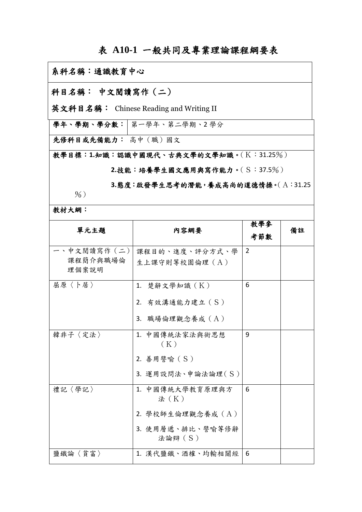## 表 **A10-1** 一般共同及專業理論課程綱要表

## 系科名稱:通識教育中心

## 科目名稱: 中文閱讀寫作(二)

英文科目名稱: Chinese Reading and Writing II

學年、學期、學分數: 第一學年、第二學期、2學分

先修科目或先備能力: 高中(職)國文

教學目標:**1.**知識:認識中國現代、古典文學的文學知識。(K:31.25%)

**2.**技能:培養學生國文應用與寫作能力。(S:37.5%)

**3.**態度:啟發學生思考的潛能,養成高尚的道德情操。(A:31.25

 $\frac{9}{6}$ )

教材大網:

| 單元主題                              | 内容網要                                                                        | 教學參<br>考節數     | 備註 |
|-----------------------------------|-----------------------------------------------------------------------------|----------------|----|
| - 、中文閲讀寫作(二)<br>課程簡介與職場倫<br>理個案說明 | 課程目的、進度、評分方式、學<br>生上課守則等校園倫理 (A)                                            | $\overline{2}$ |    |
| 屈原〈卜居〉                            | 1. 楚辭文學知識 (K)<br>2. 有效溝通能力建立 (S)<br>3. 職場倫理觀念養成 (A)                         | 6              |    |
| 韓非子〈定法〉                           | 1. 中國傳統法家法與術思想<br>(K)<br>2. 善用譬喻 (S)<br>3. 運用設問法、申論法論理(S)                   | 9              |    |
| 禮記〈學記〉                            | 1. 中國傳統大學教育原理與方<br>法 (K)<br>2. 學校師生倫理觀念養成 (A)<br>3. 使用層遞、排比、譬喻等修辭<br>法論辯(S) | 6              |    |
| 鹽鐵論〈貧富〉                           | 1. 漢代鹽鐵、酒榷、均輸相關經                                                            | 6              |    |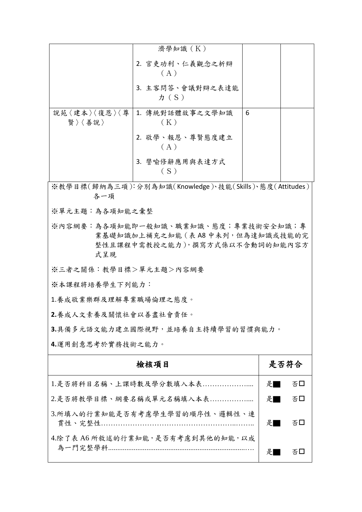|                                                                                                                    | 濟學知識(K)                      |      |  |  |  |  |  |
|--------------------------------------------------------------------------------------------------------------------|------------------------------|------|--|--|--|--|--|
|                                                                                                                    | 2. 官吏功利、仁義觀念之析辯<br>(A)       |      |  |  |  |  |  |
|                                                                                                                    | 3. 主客問答、會議對辯之表達能<br>$\pi(S)$ |      |  |  |  |  |  |
| 說苑〈建本〉〈復恩〉〈尊<br>賢〉〈善說〉                                                                                             | 1. 傳統對話體故事之文學知識<br>(K)       | 6    |  |  |  |  |  |
|                                                                                                                    | 2. 敬學、報恩、尊賢態度建立<br>(A)       |      |  |  |  |  |  |
|                                                                                                                    | 3. 譬喻修辭應用與表達方式<br>(S)        |      |  |  |  |  |  |
| ※教學目標(歸納為三項):分別為知識(Knowledge)、技能(Skills)、態度(Attitudes)<br>各一項                                                      |                              |      |  |  |  |  |  |
| ※單元主題:為各項知能之彙整                                                                                                     |                              |      |  |  |  |  |  |
| ※內容網要:為各項知能即一般知識、職業知識、態度;專業技術安全知識;專<br>業基礎知識加上補充之知能 (表 A8 中未列, 但為達知識或技能的完<br>整性且課程中需教授之能力),撰寫方式係以不含動詞的知能內容方<br>式呈現 |                              |      |  |  |  |  |  |
| ※三者之關係:教學目標>單元主題>內容網要                                                                                              |                              |      |  |  |  |  |  |
| ※本課程將培養學生下列能力:                                                                                                     |                              |      |  |  |  |  |  |
| 1.養成敬業樂群及理解專業職場倫理之態度。                                                                                              |                              |      |  |  |  |  |  |
| 2.養成人文素養及關懷社會以善盡社會責任。                                                                                              |                              |      |  |  |  |  |  |
| 3.具備多元語文能力建立國際視野,並培養自主持續學習的習慣與能力。                                                                                  |                              |      |  |  |  |  |  |
| 4.運用創意思考於實務技術之能力。                                                                                                  |                              |      |  |  |  |  |  |
|                                                                                                                    |                              | 是否符合 |  |  |  |  |  |
| 1.是否將科目名稱、上課時數及學分數填入本表                                                                                             | 是                            | 否口   |  |  |  |  |  |
| 2.是否將教學目標、綱要名稱或單元名稱填入本表                                                                                            | 是■                           | 否口   |  |  |  |  |  |
| 3.所填入的行業知能是否有考慮學生學習的順序性、邏輯性、連                                                                                      | 是                            | 否口   |  |  |  |  |  |
| 4.除了表 A6 所敘述的行業知能,是否有考慮到其他的知能,以成                                                                                   | 是                            | 否口   |  |  |  |  |  |
|                                                                                                                    |                              |      |  |  |  |  |  |